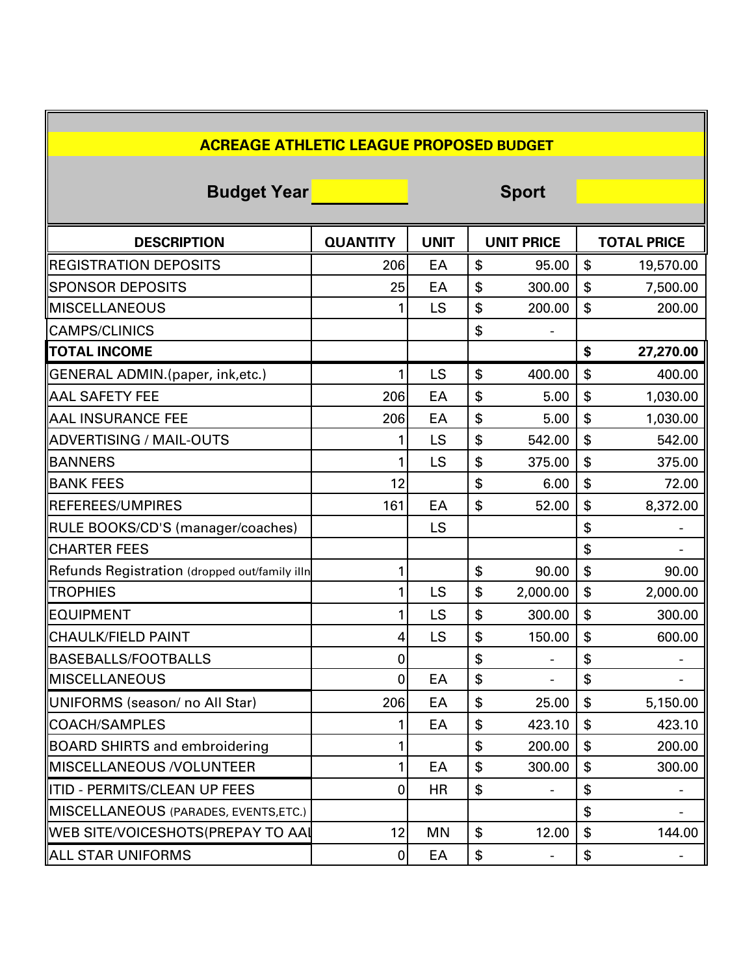| <b>ACREAGE ATHLETIC LEAGUE PROPOSED BUDGET</b> |                  |              |    |                   |    |                    |  |  |
|------------------------------------------------|------------------|--------------|----|-------------------|----|--------------------|--|--|
| <b>Budget Year</b>                             |                  | <b>Sport</b> |    |                   |    |                    |  |  |
| <b>DESCRIPTION</b>                             | <b>QUANTITY</b>  | <b>UNIT</b>  |    | <b>UNIT PRICE</b> |    | <b>TOTAL PRICE</b> |  |  |
| <b>REGISTRATION DEPOSITS</b>                   | 206              | EA           | \$ | 95.00             | \$ | 19,570.00          |  |  |
| <b>SPONSOR DEPOSITS</b>                        | 25               | EA           | \$ | 300.00            | \$ | 7,500.00           |  |  |
| <b>MISCELLANEOUS</b>                           |                  | <b>LS</b>    | \$ | 200.00            | \$ | 200.00             |  |  |
| <b>CAMPS/CLINICS</b>                           |                  |              | \$ |                   |    |                    |  |  |
| <b>TOTAL INCOME</b>                            |                  |              |    |                   | \$ | 27,270.00          |  |  |
| GENERAL ADMIN.(paper, ink, etc.)               | 1                | <b>LS</b>    | \$ | 400.00            | \$ | 400.00             |  |  |
| <b>AAL SAFETY FEE</b>                          | 206              | EA           | \$ | 5.00              | \$ | 1,030.00           |  |  |
| <b>AAL INSURANCE FEE</b>                       | 206              | EA           | \$ | 5.00              | \$ | 1,030.00           |  |  |
| <b>ADVERTISING / MAIL-OUTS</b>                 | 1                | LS           | \$ | 542.00            | \$ | 542.00             |  |  |
| <b>BANNERS</b>                                 | 1                | LS           | \$ | 375.00            | \$ | 375.00             |  |  |
| <b>BANK FEES</b>                               | 12               |              | \$ | 6.00              | \$ | 72.00              |  |  |
| <b>REFEREES/UMPIRES</b>                        | 161              | EA           | \$ | 52.00             | \$ | 8,372.00           |  |  |
| RULE BOOKS/CD'S (manager/coaches)              |                  | LS           |    |                   | \$ |                    |  |  |
| <b>CHARTER FEES</b>                            |                  |              |    |                   | \$ |                    |  |  |
| Refunds Registration (dropped out/family illn  | 1                |              | \$ | 90.00             | \$ | 90.00              |  |  |
| <b>TROPHIES</b>                                | 1                | LS           | \$ | 2,000.00          | \$ | 2,000.00           |  |  |
| <b>EQUIPMENT</b>                               | 1                | <b>LS</b>    | \$ | 300.00            | \$ | 300.00             |  |  |
| <b>CHAULK/FIELD PAINT</b>                      | 4                | LS           | \$ | 150.00            | \$ | 600.00             |  |  |
| <b>BASEBALLS/FOOTBALLS</b>                     | $\mathbf 0$      |              | \$ |                   | \$ |                    |  |  |
| MISCELLANEOUS                                  | $\pmb{0}$        | EA           | \$ |                   | \$ |                    |  |  |
| UNIFORMS (season/ no All Star)                 | 206              | EA           | \$ | 25.00             | \$ | 5,150.00           |  |  |
| <b>COACH/SAMPLES</b>                           |                  | EA           | \$ | 423.10            | \$ | 423.10             |  |  |
| <b>BOARD SHIRTS and embroidering</b>           | 1                |              | \$ | 200.00            | \$ | 200.00             |  |  |
| MISCELLANEOUS /VOLUNTEER                       | 1                | EA           | \$ | 300.00            | \$ | 300.00             |  |  |
| ITID - PERMITS/CLEAN UP FEES                   | $\mathbf 0$      | <b>HR</b>    | \$ |                   | \$ |                    |  |  |
| MISCELLANEOUS (PARADES, EVENTS, ETC.)          |                  |              |    |                   | \$ |                    |  |  |
| <b>WEB SITE/VOICESHOTS(PREPAY TO AAI</b>       | 12               | <b>MN</b>    | \$ | 12.00             | \$ | 144.00             |  |  |
| <b>ALL STAR UNIFORMS</b>                       | $\boldsymbol{0}$ | EA           | \$ |                   | \$ |                    |  |  |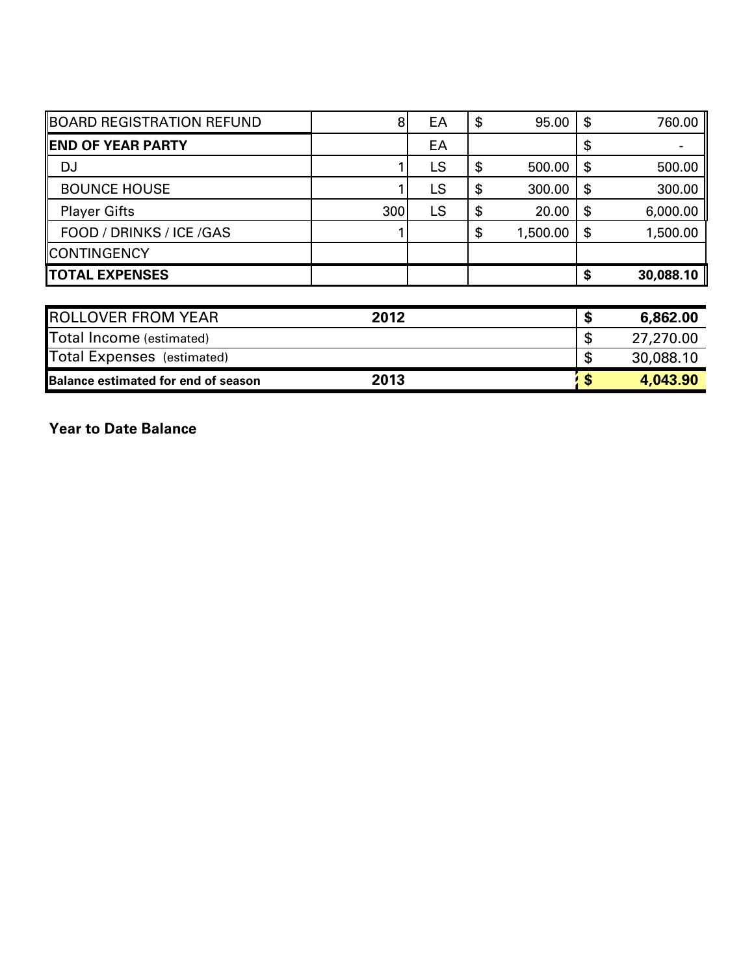| 6 862 00  |
|-----------|
|           |
| 30,088.10 |
|           |
| 1,500.00  |
| 6,000.00  |
| 300.00    |
| 500.00    |
|           |
| 760.00    |
|           |

| <b>Balance estimated for end of season</b> | 2013 |    | 4,043.90  |
|--------------------------------------------|------|----|-----------|
| Total Expenses (estimated)                 |      | ۰D | 30,088.10 |
| Total Income (estimated)                   |      |    | 27,270.00 |
| <b>ROLLOVER FROM YEAR</b>                  | 2012 |    | 6,862.00  |

**Year to Date Balance**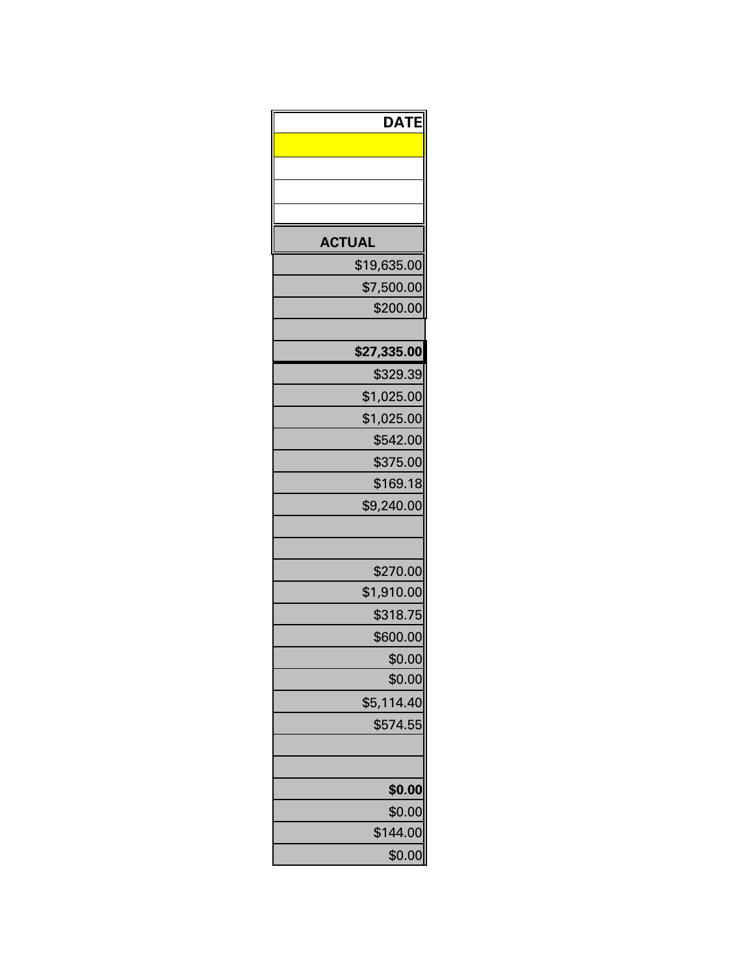| <b>DATE</b>   |
|---------------|
|               |
|               |
|               |
|               |
| <b>ACTUAL</b> |
| \$19,635.00   |
| \$7,500.00    |
| \$200.00      |
|               |
| \$27,335.00   |
| \$329.39      |
| \$1,025.00    |
| \$1,025.00    |
| \$542.00      |
| \$375.00      |
| \$169.18      |
| \$9,240.00    |
|               |
| \$270.00      |
| \$1,910.00    |
| \$318.75      |
| \$600.00      |
| \$0.00        |
| \$0.00        |
| \$5,114.40    |
| \$574.55      |
|               |
| \$0.00        |
| \$0.00        |
| \$144.00      |
|               |
| \$0.00        |